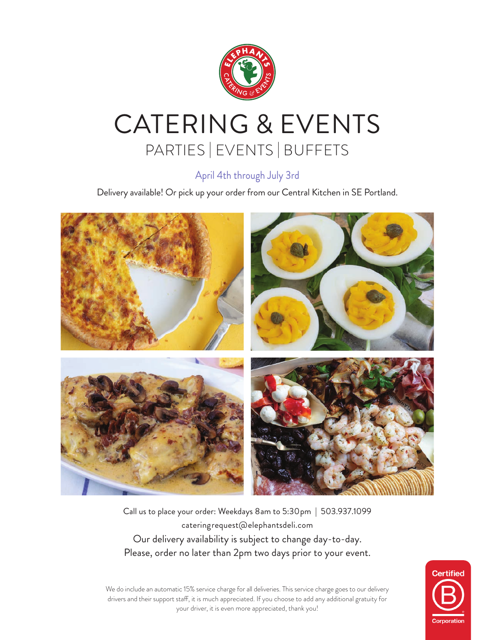

# CATERING & EVENTS PARTIES | EVENTS | BUFFETS

## April 4th through July 3rd

Delivery available! Or pick up your order from our Central Kitchen in SE Portland.



Call us to place your order: Weekdays 8am to 5:30pm | 503.937.1099 cateringrequest@elephantsdeli.com Our delivery availability is subject to change day-to-day. Please, order no later than 2pm two days prior to your event.



We do include an automatic 15% service charge for all deliveries. This service charge goes to our delivery drivers and their support staff, it is much appreciated. If you choose to add any additional gratuity for your driver, it is even more appreciated, thank you!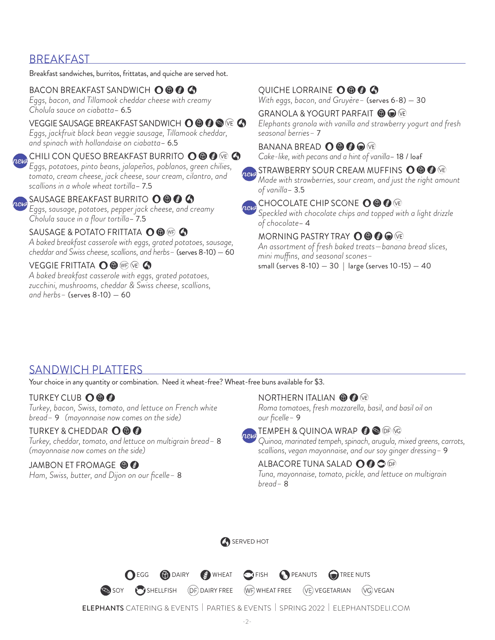## BREAKFAST

Breakfast sandwiches, burritos, frittatas, and quiche are served hot.

#### BACON BREAKFAST SANDWICH O © © ©

*Eggs, bacon, and Tillamook cheddar cheese with creamy Cholula sauce on ciabatta*– 6.5

#### VEGGIE SAUSAGE BREAKFAST SANDWICH  $\mathbf{O} \circ \mathbf{\Theta} \circ \mathbf{\Phi}$  (@)

*Eggs, jackfruit black bean veggie sausage, Tillamook cheddar, and spinach with hollandaise on ciabatta*– 6.5

#### CHILI CON QUESO BREAKFAST BURRITO (O (O (G) (VE)

*Eggs, potatoes, pinto beans, jalapeños, poblanos, green chilies, tomato, cream cheese, jack cheese, sour cream, cilantro, and scallions in a whole wheat tortilla*– 7.5

SAUSAGE BREAKFAST BURRITO O **O O** *Eggs, sausage, potatoes, pepper jack cheese, and creamy Cholula sauce in a flour tortilla*– 7.5

#### SAUSAGE & POTATO FRITTATA **O** 6 MB

*A baked breakfast casserole with eggs, grated potatoes, sausage, cheddar and Swiss cheese, scallions, and herbs–* (serves 8-10) — 60

#### VEGGIE FRITTATA O O WE VE A

*A baked breakfast casserole with eggs, grated potatoes, zucchini, mushrooms, cheddar & Swiss cheese, scallions, and herbs–* (serves 8-10) — 60

## QUICHE LORRAINE O **O O**

*With eggs, bacon, and Gruyère–* (serves 6-8) — 30

GRANOLA & YOGURT PARFAIT <sup>1</sup> O C *Elephants granola with vanilla and strawberry yogurt and fresh seasonal berries–* 7

## BANANA BREAD **O © © ©** VE

*Cake-like, with pecans and a hint of vanilla*– 18 / loaf

## **Rew** STRAWBERRY SOUR CREAM MUFFINS OOO

*Made with strawberries, sour cream, and just the right amount of vanilla*– 3.5

#### CHOCOLATE CHIP SCONE O O O

*Speckled with chocolate chips and topped with a light drizzle of chocolate*– 4

#### MORNING PASTRY TRAY  $\mathbf{O} \mathbf{\Theta} \mathbf{\Theta} \mathbf{\Theta}$  (re

*An assortment of fresh baked treats—banana bread slices, mini muffins, and seasonal scones–*  small (serves 8-10) — 30 | large (serves 10-15) — 40

## SANDWICH PLATTERS

Your choice in any quantity or combination. Need it wheat-free? Wheat-free buns available for \$3.

#### **TURKEY CLUB OOO**

*Turkey, bacon, Swiss, tomato, and lettuce on French white bread–* 9 *(mayonnaise now comes on the side)*

#### TURKEY & CHEDDAR O © ©

*Turkey, cheddar, tomato, and lettuce on multigrain bread–* 8 *(mayonnaise now comes on the side)*

#### JAMBON ET FROMAGE **OO**

*Ham, Swiss, butter, and Dijon on our ficelle–* 8

#### NORTHERN ITALIAN **O G** VE

*Roma tomatoes, fresh mozzarella, basil, and basil oil on our ficelle–* 9



*Quinoa, marinated tempeh, spinach, arugula, mixed greens, carrots, scallions, vegan mayonnaise, and our soy ginger dressing–* 9

#### ALBACORE TUNA SALAD O @ O OF

*Tuna, mayonnaise, tomato, pickle, and lettuce on multigrain bread–* 8



**O** EGG **(b)** DAIRY **C**) WHEAT **C** FISH **O** PEANUTS **C** TREE NUTS



SHELLFISH (DF) DAIRY FREE (WF) WHEAT FREE (VE) VEGETARIAN (VG) VEGAN

ELEPHANTS CATERING & EVENTS | PARTIES & EVENTS | SPRING 2022 | ELEPHANTSDELI.COM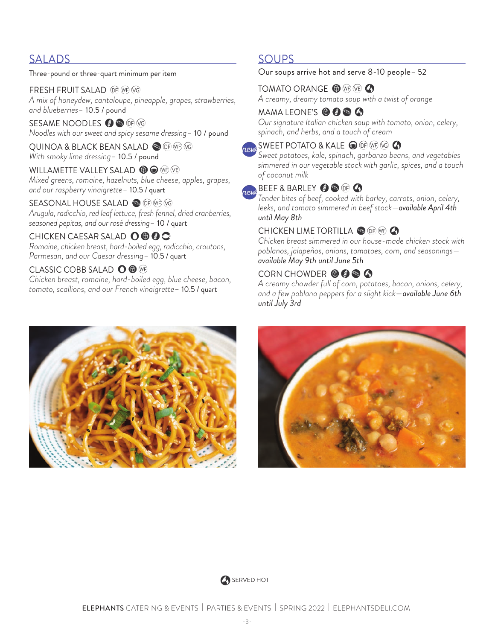## SALADS

Three-pound or three-quart minimum per item

FRESH FRUIT SALAD OF WE VG *A mix of honeydew, cantaloupe, pineapple, grapes, strawberries, and blueberries–* 10.5 / pound

SESAME NOODLES  $\bigcirc$   $\bigcirc$   $\bigcirc$   $\bigcirc$ *Noodles with our sweet and spicy sesame dressing–* 10 / pound

QUINOA & BLACK BEAN SALAD OF WE VG *With smoky lime dressing–* 10.5 / pound

WILLAMETTE VALLEY SALAD **6 C** (WF) (VE) *Mixed greens, romaine, hazelnuts, blue cheese, apples, grapes, and our raspberry vinaigrette–* 10.5 / quart

SEASONAL HOUSE SALAD SO OF WE VG *Arugula, radicchio, red leaf lettuce, fresh fennel, dried cranberries, seasoned pepitas, and our rosé dressing–* 10 / quart

#### CHICKEN CAESAR SALAD O © © C

*Romaine, chicken breast, hard-boiled egg, radicchio, croutons, Parmesan, and our Caesar dressing–* 10.5 / quart

#### CLASSIC COBB SALAD **O @** WP

*Chicken breast, romaine, hard-boiled egg, blue cheese, bacon, tomato, scallions, and our French vinaigrette–* 10.5 / quart

## SOUPS

#### Our soups arrive hot and serve 8-10 people*–* 52

### TOMATO ORANGE <sup>O</sup> WE VE **4**

*A creamy, dreamy tomato soup with a twist of orange*

#### MAMA LEONE'S **O @ @ @**

*Our signature Italian chicken soup with tomato, onion, celery, spinach, and herbs, and a touch of cream*

## $\Omega$  and  $\Omega$  is the potator  $\partial_{\Omega}$  in the set of  $\Omega$

*Sweet potatoes, kale, spinach, garbanzo beans, and vegetables simmered in our vegetable stock with garlic, spices, and a touch of coconut milk*

## REAR BARLEY OF OF

*Tender bites of beef, cooked with barley, carrots, onion, celery, leeks, and tomato simmered in beef stock—available April 4th until May 8th*

### CHICKEN LIME TORTILLA & OF WE A

*Chicken breast simmered in our house-made chicken stock with poblanos, jalapeños, onions, tomatoes, corn, and seasonings available May 9th until June 5th*

#### CORN CHOWDER **@@@@**

*A creamy chowder full of corn, potatoes, bacon, onions, celery, and a few poblano peppers for a slight kick—available June 6th until July 3rd*





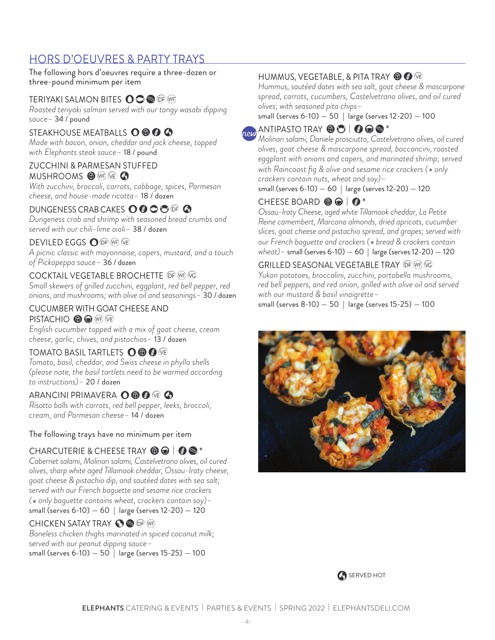## HORS D'OEUVRES & PARTY TRAYS

The following hors d'oeuvres require a three-dozen or three-pound minimum per item

#### TERIYAKI SALMON BITES **O O ®** OF WF

*Roasted teriyaki salmon served with our tangy wasabi dipping sauce–* 34 / pound

#### STEAKHOUSE MEATBALLS OOOOO

*Made with bacon, onion, cheddar and jack cheese, topped with Elephants steak sauce–* 18 / pound

#### ZUCCHINI & PARMESAN STUFFED **MUSHROOMS OF WE A**

*With zucchini, broccoli, carrots, cabbage, spices, Parmesan cheese, and house-made ricotta–* 18 / dozen

#### DUNGENESS CRAB CAKES O @ C O OF A

*Dungeness crab and shrimp with seasoned bread crumbs and served with our chili-lime aioli–* 38 / dozen

#### **DEVILED EGGS O OF WE VE**

*A picnic classic with mayonnaise, capers, mustard, and a touch of Pickapeppa sauce–* 36 / dozen

#### COCKTAIL VEGETABLE BROCHETTE OF WE VG

*Small skewers of grilled zucchini, eggplant, red bell pepper, red onions, and mushrooms; with olive oil and seasonings–* 30 / dozen

#### CUCUMBER WITH GOAT CHEESE AND PISTACHIO **O O WE VE**

*English cucumber topped with a mix of goat cheese, cream cheese, garlic, chives, and pistachios–* 13 / dozen

#### TOMATO BASIL TARTLETS **O © ©** VE

*Tomato, basil, cheddar, and Swiss cheese in phyllo shells (please note, the basil tartlets need to be warmed according to instructions)–* 20 / dozen

#### ARANCINI PRIMAVERA **O © ©** VE **G**

*Risotto balls with carrots, red bell pepper, leeks, broccoli, cream, and Parmesan cheese–* 14 / dozen

The following trays have no minimum per item

CHARCUTERIE & CHEESE TRAY  $\bigcirc \bigcirc \bigcirc$   $\bullet$  \*<br>*Cabernet salami, Molinari salami, Castelvetrano olives, oil cured olives, sharp white aged Tillamook cheddar, Ossau-Iraty cheese, goat cheese & pistachio dip, and sautéed dates with sea salt; served with our French baguette and sesame rice crackers* 

*( only baguette contains wheat, crackers contain soy)–*  (\* only baguette contains wheat, crackers contain soy,<br>small (serves 6-10) — 60 | large (serves 12-20) — 120

#### CHICKEN SATAY TRAY **O**

*Boneless chicken thighs marinated in spiced coconut milk; served with our peanut dipping sauce–*  small (serves 6-10) — 50 | large (serves 15-25) — 100

#### HUMMUS, VEGETABLE, & PITA TRAY @ @ VE

*Hummus, sautéed dates with sea salt, goat cheese & mascarpone spread, carrots, cucumbers, Castelvetrano olives, and oil cured olives; with seasoned pita chips–* 

small (serves 6-10) — 50 | large (serves 12-20) — 100

## new

ANTIPASTO TRAY | \* *Molinari salami, Daniele prosciutto, Castelvetrano olives, oil cured olives, goat cheese & mascarpone spread, bocconcini, roasted eggplant with onions and capers, and marinated shrimp; served with Raincoast fig & olive and sesame rice crackers (*\*  *only crackers contain nuts, wheat and soy)–* 

small (serves 6-10) — 60 | large (serves 12-20) — 120

CHEESE BOARD  $\bigcirc \bigcirc \bigcirc$  |  $\bigcirc^*$ <br>Ossau-Iraty Cheese, aged white Tillamook cheddar, La Petite *Reine camembert, Marcona almonds, dried apricots, cucumber slices, goat cheese and pistachio spread, and grapes; served with our French baguette and crackers (*\*  *bread & crackers contain wheat)–* small (serves 6-10) — 60 | large (serves 12-20) — 120

#### GRILLED SEASONAL VEGETABLE TRAY OF WE VG

*Yukon potatoes, broccolini, zucchini, portobella mushrooms, red bell peppers, and red onion, grilled with olive oil and served with our mustard & basil vinaigrette–* 

small (serves 8-10) — 50 | large (serves 15-25) — 100



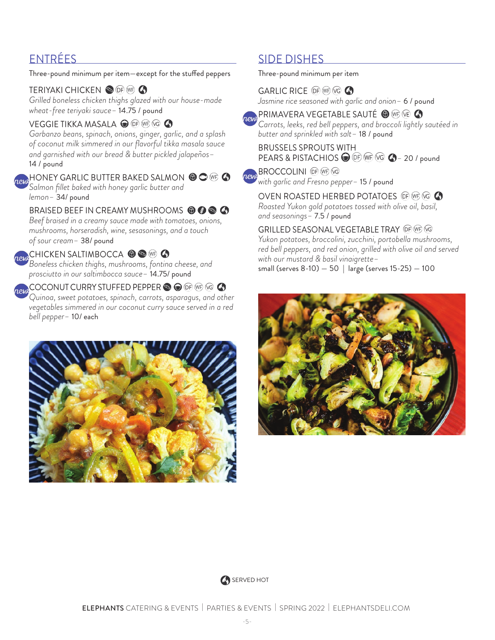Three-pound minimum per item—except for the stuffed peppers

## TERIYAKI CHICKEN OF **OF WE**

*Grilled boneless chicken thighs glazed with our house-made wheat-free teriyaki sauce–* 14.75 / pound

## VEGGIE TIKKA MASALA O OF WF VG A

*Garbanzo beans, spinach, onions, ginger, garlic, and a splash of coconut milk simmered in our flavorful tikka masala sauce and garnished with our bread & butter pickled jalapeños–* 14 / pound

### HONEY GARLIC BUTTER BAKED SALMON  $\circledcirc \circledcirc \bullet$

*Salmon fillet baked with honey garlic butter and lemon–* 34/ pound

## BRAISED BEEF IN CREAMY MUSHROOMS **© © © ©**

*Beef braised in a creamy sauce made with tomatoes, onions, mushrooms, horseradish, wine, sesasonings, and a touch of sour cream–* 38/ pound

## CHICKEN SALTIMBOCCA <sup>1</sup> S WF 4

*Boneless chicken thighs, mushrooms, fontina cheese, and prosciutto in our saltimbocca sauce–* 14.75/ pound

**AN COCONUT CURRY STUFFED PEPPER SO OF WE VG 4** *Quinoa, sweet potatoes, spinach, carrots, asparagus, and other vegetables simmered in our coconut curry sauce served in a red bell pepper–* 10/ each



## ENTRÉES SIDE DISHES

Three-pound minimum per item

GARLIC RICE OF WE VG A *Jasmine rice seasoned with garlic and onion–* 6 / pound

**PRIMAVERA VEGETABLE SAUTÉ ©** @ @ Q *Carrots, leeks, red bell peppers, and broccoli lightly sautéed in butter and sprinkled with salt–* 18 / pound

#### BRUSSELS SPROUTS WITH PEARS & PISTACHIOS **●** <sup>DF</sup> WF <sup>(vG</sup> ● 20 / pound

**BROCCOLINI** OF WE VG ney *with garlic and Fresno pepper–* 15 / pound

OVEN ROASTED HERBED POTATOES OF WF VG *Roasted Yukon gold potatoes tossed with olive oil, basil, and seasonings–* 7.5 / pound

#### GRILLED SEASONAL VEGETABLE TRAY *Yukon potatoes, broccolini, zucchini, portobella mushrooms,*

*red bell peppers, and red onion, grilled with olive oil and served with our mustard & basil vinaigrette–* 

small (serves 8-10) — 50 | large (serves 15-25) — 100



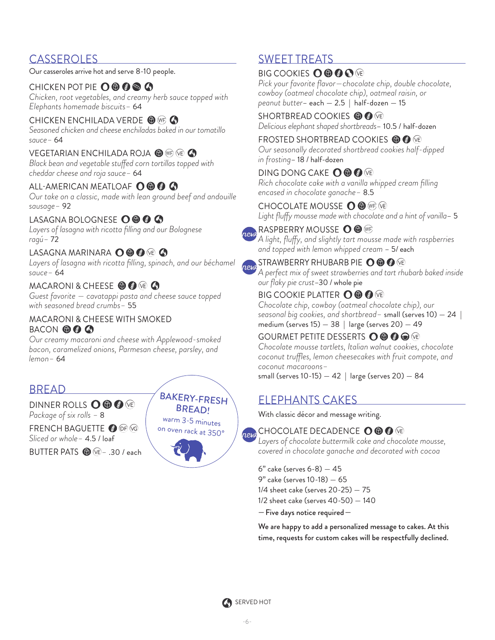## **CASSEROLES**

Our casseroles arrive hot and serve 8-10 people.

### CHICKEN POT PIE O **O @ @ 4**

*Chicken, root vegetables, and creamy herb sauce topped with Elephants homemade biscuits–* 64

#### CHICKEN ENCHILADA VERDE <sup>O WE</sup>

*Seasoned chicken and cheese enchiladas baked in our tomatillo sauce–* 64

#### VEGETARIAN ENCHILADA ROJA @ WP VE 4

*Black bean and vegetable stuffed corn tortillas topped with cheddar cheese and roja sauce–* 64

#### ALL-AMERICAN MEATLOAF O © © ©

*Our take on a classic, made with lean ground beef and andouille sausage–* 92

#### LASAGNA BOLOGNESE **O © © ©**

*Layers of lasagna with ricotta filling and our Bolognese ragú–* 72

#### LASAGNA MARINARA **O © ©** VE **G**

Layers of lasagna with ricotta filling, spinach, and our béchamel *sauce–* 64

#### MACARONI & CHEESE **O @** (20)

*Guest favorite — cavatappi pasta and cheese sauce topped with seasoned bread crumbs–* 55

#### MACARONI & CHEESE WITH SMOKED BACON **OOO**

*Our creamy macaroni and cheese with Applewood-smoked bacon, caramelized onions, Parmesan cheese, parsley, and lemon–* 64

## BREAD

DINNER ROLLS OOOO *Package of six rolls –* 8 FRENCH BAGUETTE @ OF OG

*Sliced or whole–* 4.5 / loaf

BUTTER PATS *–* .30 / each



## SWEET TREATS

### BIG COOKIES  $\mathbf{O} \mathbf{\Theta} \mathbf{\Theta} \mathbf{\Theta}$

*Pick your favorite flavor—chocolate chip, double chocolate, cowboy (oatmeal chocolate chip), oatmeal raisin, or peanut butter*– each — 2.5 | half-dozen — 15

SHORTBREAD COOKIES **O G** VE *Delicious elephant shaped shortbreads*– 10.5 / half-dozen

#### FROSTED SHORTBREAD COOKIES **O G** (E)

*Our seasonally decorated shortbread cookies half-dipped in frosting*– 18 / half-dozen

### DING DONG CAKE  $\mathbf{O} \circledast \mathbf{O}$

*Rich chocolate cake with a vanilla whipped cream filling encased in chocolate ganache–* 8.5

#### CHOCOLATE MOUSSE O <sup>(ME)</sup> (VE)

*Light fluffy mousse made with chocolate and a hint of vanilla*– 5

RASPBERRY MOUSSE OO WE *A light, fluffy, and slightly tart mousse made with raspberries and topped with lemon whipped cream* – 5/ each

## **REW STRAWBERRY RHUBARB PIE O ® ©** ®

*A perfect mix of sweet strawberries and tart rhubarb baked inside our flaky pie crust*–30 / whole pie

### BIG COOKIE PLATTER  $\mathbf{O} \mathbf{\Theta} \mathbf{\Theta}$  (re)

*Chocolate chip, cowboy (oatmeal chocolate chip), our seasonal big cookies, and shortbread–* small (serves 10) — 24 | medium (serves  $15 - 38$  | large (serves  $20 - 49$ 

#### GOURMET PETITE DESSERTS **OOOO**

*Chocolate mousse tartlets, Italian walnut cookies, chocolate coconut truffles, lemon cheesecakes with fruit compote, and coconut macaroons–* 

small (serves  $10-15$ )  $-42$  | large (serves  $20$ )  $-84$ 

## ELEPHANTS CAKES

With classic décor and message writing.

## **REW CHOCOLATE DECADENCE O © ©** ®

*Layers of chocolate buttermilk cake and chocolate mousse, covered in chocolate ganache and decorated with cocoa*

6" cake (serves 6-8) — 45 9" cake (serves 10-18) — 65 1/4 sheet cake (serves 20-25) — 75 1/2 sheet cake (serves 40-50) — 140

— Five days notice required—

We are happy to add a personalized message to cakes. At this time, requests for custom cakes will be respectfully declined.